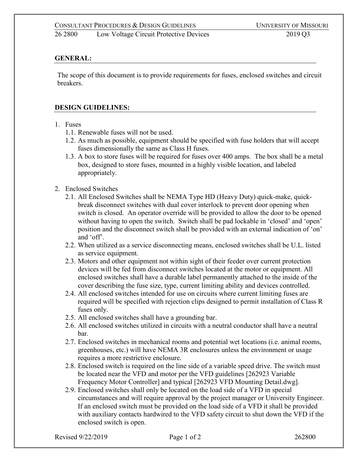## 26 2800 Low Voltage Circuit Protective Devices 2019 Q3

## **GENERAL:**

The scope of this document is to provide requirements for fuses, enclosed switches and circuit breakers.

## **DESIGN GUIDELINES:**

- 1. Fuses
	- 1.1. Renewable fuses will not be used.
	- 1.2. As much as possible, equipment should be specified with fuse holders that will accept fuses dimensionally the same as Class H fuses.
	- 1.3. A box to store fuses will be required for fuses over 400 amps. The box shall be a metal box, designed to store fuses, mounted in a highly visible location, and labeled appropriately.
- 2. Enclosed Switches
	- 2.1. All Enclosed Switches shall be NEMA Type HD (Heavy Duty) quick-make, quickbreak disconnect switches with dual cover interlock to prevent door opening when switch is closed. An operator override will be provided to allow the door to be opened without having to open the switch. Switch shall be pad lockable in 'closed' and 'open' position and the disconnect switch shall be provided with an external indication of 'on' and 'off'.
	- 2.2. When utilized as a service disconnecting means, enclosed switches shall be U.L. listed as service equipment.
	- 2.3. Motors and other equipment not within sight of their feeder over current protection devices will be fed from disconnect switches located at the motor or equipment. All enclosed switches shall have a durable label permanently attached to the inside of the cover describing the fuse size, type, current limiting ability and devices controlled.
	- 2.4. All enclosed switches intended for use on circuits where current limiting fuses are required will be specified with rejection clips designed to permit installation of Class R fuses only.
	- 2.5. All enclosed switches shall have a grounding bar.
	- 2.6. All enclosed switches utilized in circuits with a neutral conductor shall have a neutral bar.
	- 2.7. Enclosed switches in mechanical rooms and potential wet locations (i.e. animal rooms, greenhouses, etc.) will have NEMA 3R enclosures unless the environment or usage requires a more restrictive enclosure.
	- 2.8. Enclosed switch is required on the line side of a variable speed drive. The switch must be located near the VFD and motor per the VFD guidelines [262923 Variable Frequency Motor Controller] and typical [262923 VFD Mounting Detail.dwg].
	- 2.9. Enclosed switches shall only be located on the load side of a VFD in special circumstances and will require approval by the project manager or University Engineer. If an enclosed switch must be provided on the load side of a VFD it shall be provided with auxiliary contacts hardwired to the VFD safety circuit to shut down the VFD if the enclosed switch is open.